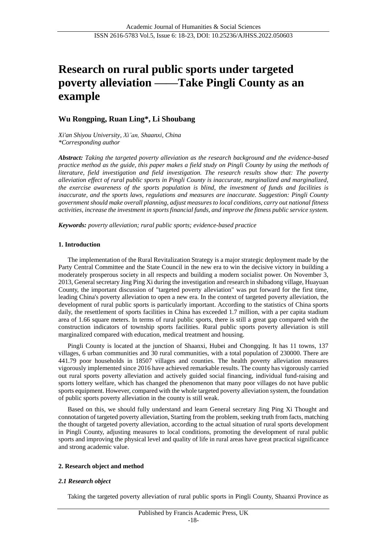# **Research on rural public sports under targeted poverty alleviation ——Take Pingli County as an example**

# **Wu Rongping, Ruan Ling\*, Li Shoubang**

*Xi'an Shiyou University, Xi'an, Shaanxi, China \*Corresponding author*

*Abstract: Taking the targeted poverty alleviation as the research background and the evidence-based practice method as the guide, this paper makes a field study on Pingli County by using the methods of literature, field investigation and field investigation. The research results show that: The poverty alleviation effect of rural public sports in Pingli County is inaccurate, marginalized and marginalized, the exercise awareness of the sports population is blind, the investment of funds and facilities is inaccurate, and the sports laws, regulations and measures are inaccurate. Suggestion: Pingli County government should make overall planning, adjust measures to local conditions, carry out national fitness activities, increase the investment in sports financial funds, and improve the fitness public service system.*

*Keywords: poverty alleviation; rural public sports; evidence-based practice*

### **1. Introduction**

The implementation of the Rural Revitalization Strategy is a major strategic deployment made by the Party Central Committee and the State Council in the new era to win the decisive victory in building a moderately prosperous society in all respects and building a modern socialist power. On November 3, 2013, General secretary Jing Ping Xi during the investigation and research in shibadong village, Huayuan County, the important discussion of "targeted poverty alleviation" was put forward for the first time, leading China's poverty alleviation to open a new era. In the context of targeted poverty alleviation, the development of rural public sports is particularly important. According to the statistics of China sports daily, the resettlement of sports facilities in China has exceeded 1.7 million, with a per capita stadium area of 1.66 square meters. In terms of rural public sports, there is still a great gap compared with the construction indicators of township sports facilities. Rural public sports poverty alleviation is still marginalized compared with education, medical treatment and housing.

Pingli County is located at the junction of Shaanxi, Hubei and Chongqing. It has 11 towns, 137 villages, 6 urban communities and 30 rural communities, with a total population of 230000. There are 441.79 poor households in 18507 villages and counties. The health poverty alleviation measures vigorously implemented since 2016 have achieved remarkable results. The county has vigorously carried out rural sports poverty alleviation and actively guided social financing, individual fund-raising and sports lottery welfare, which has changed the phenomenon that many poor villages do not have public sports equipment. However, compared with the whole targeted poverty alleviation system, the foundation of public sports poverty alleviation in the county is still weak.

Based on this, we should fully understand and learn General secretary Jing Ping Xi Thought and connotation of targeted poverty alleviation, Starting from the problem, seeking truth from facts, matching the thought of targeted poverty alleviation, according to the actual situation of rural sports development in Pingli County, adjusting measures to local conditions, promoting the development of rural public sports and improving the physical level and quality of life in rural areas have great practical significance and strong academic value.

#### **2. Research object and method**

## *2.1 Research object*

Taking the targeted poverty alleviation of rural public sports in Pingli County, Shaanxi Province as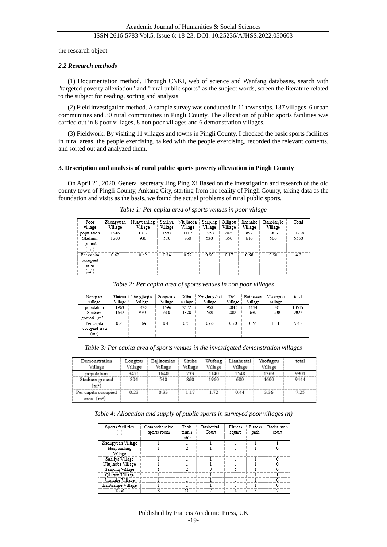the research object.

#### *2.2 Research methods*

(1) Documentation method. Through CNKI, web of science and Wanfang databases, search with "targeted poverty alleviation" and "rural public sports" as the subject words, screen the literature related to the subject for reading, sorting and analysis.

(2) Field investigation method. A sample survey was conducted in 11 townships, 137 villages, 6 urban communities and 30 rural communities in Pingli County. The allocation of public sports facilities was carried out in 8 poor villages, 8 non poor villages and 6 demonstration villages.

(3) Fieldwork. By visiting 11 villages and towns in Pingli County, I checked the basic sports facilities in rural areas, the people exercising, talked with the people exercising, recorded the relevant contents, and sorted out and analyzed them.

#### **3. Description and analysis of rural public sports poverty alleviation in Pingli County**

On April 21, 2020, General secretary Jing Ping Xi Based on the investigation and research of the old county town of Pingli County, Ankang City, starting from the reality of Pingli County, taking data as the foundation and visits as the basis, we found the actual problems of rural public sports.

| Poor<br>village                                  | Zhongyuan<br>Village | Huayuanling<br>Village | Sanliya  <br>Village | Niujiaoba<br>Village | Sanping<br>Village | Qiligou<br>Village | Jinshahe<br>Village | Banbianjie<br>Village | Total |
|--------------------------------------------------|----------------------|------------------------|----------------------|----------------------|--------------------|--------------------|---------------------|-----------------------|-------|
| population                                       | 1946                 | 1512                   | 1687                 | 1112                 | 1055               | 2029               | 892                 | 1003                  | 11236 |
| Stadium<br>ground<br>(m <sup>2</sup> )           | 1200                 | 930                    | 580                  | 860                  | 530                | 350                | 610                 | 500                   | 5560  |
| Per capita<br>occupied<br>area<br>m <sup>2</sup> | 0.62                 | 0.62                   | 0.34                 | 0.77                 | 0.50               | 0.17               | 0.68                | 0.50                  | 4.2   |

*Table 1: Per capita area of sports venues in poor village*

*Table 2: Per capita area of sports venues in non poor villages*

| Non poor<br>village                              | Plateau<br>Village | Liangjiagiao<br>Village | Songyang<br>Village | Xiba<br>Village | Xinglongzhai<br>Village | Tielu<br>Village | Baijiawan<br>Village | Maoergou<br>Village | total |
|--------------------------------------------------|--------------------|-------------------------|---------------------|-----------------|-------------------------|------------------|----------------------|---------------------|-------|
| population                                       | 1963               | 1420                    | 1596                | 2472            | 968                     | 2845             | 1174                 | 1081                | 13519 |
| Stadium<br>ground $(m2)$                         | 1632               | 980                     | 680                 | 1320            | 580                     | 2000             | 630                  | 1200                | 9022  |
| Per capita<br>occupied area<br>(m <sup>2</sup> ) | 0.83               | 0.69                    | 0.43                | 0.53            | 0.60                    | 0.70             | 0.54                 | 1.11                | 5.43  |

*Table 3: Per capita area of sports venues in the investigated demonstration villages*

| Demonstration<br>Village                         | Longtou<br>Village | Bajiaomiao<br>Village | Shuhe<br>Village | Wufeng<br>Village | Lianhuatai<br>Village | Yaofugou<br>Village | total |
|--------------------------------------------------|--------------------|-----------------------|------------------|-------------------|-----------------------|---------------------|-------|
| population                                       | 3471               | 1640                  | 733              | 1140              | 1548                  | 1369                | 9901  |
| Stadium ground<br>m <sup>2</sup>                 | 804                | 540                   | 860              | 1960              | 680                   | 4600                | 9444  |
| Per capita occupied<br>(m <sup>2</sup> )<br>area | 0.23               | 0.33                  | 1.17             | 1.72              | 0.44                  | 3.36                | 7.25  |

*Table 4: Allocation and supply of public sports in surveyed poor villages (n)*

| Sports facilities  | Comprehensive | Table  | <b>Basketball</b> | Fitness | <b>Fitness</b> | Badminton |
|--------------------|---------------|--------|-------------------|---------|----------------|-----------|
| 'n)                | sports room   | tennis | Court             | square  | path           | court     |
|                    |               | table  |                   |         |                |           |
| Zhongyuan Village  |               |        |                   |         |                |           |
| Huayuanling        |               |        |                   |         |                |           |
| Village            |               |        |                   |         |                |           |
| Sanliva Village    |               |        |                   |         |                |           |
| Niujiaoba Village  |               |        |                   |         |                | n         |
| Sanping Village    |               |        | $^{0}$            |         |                | n         |
| Oiligou Village    |               |        |                   |         |                |           |
| Jinshahe Village   |               |        |                   |         |                |           |
| Banbianjie Village |               |        |                   |         |                |           |
| Total              |               | 10     |                   |         |                |           |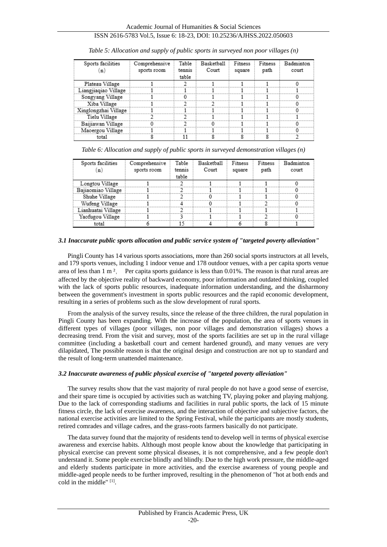## ISSN 2616-5783 Vol.5, Issue 6: 18-23, DOI: 10.25236/AJHSS.2022.050603

| Sports facilities<br>n) | Comprehensive<br>sports room | Table<br>tennis | Basketball<br>Court | Fitness<br>square | Fitness<br>path | Badminton<br>court |
|-------------------------|------------------------------|-----------------|---------------------|-------------------|-----------------|--------------------|
|                         |                              | table           |                     |                   |                 |                    |
| Plateau Village         |                              |                 |                     |                   |                 |                    |
| Liangjiaqiao Village    |                              |                 |                     |                   |                 |                    |
| Songyang Village        |                              |                 |                     |                   |                 |                    |
| Xiba Village            |                              |                 |                     |                   |                 |                    |
| Xinglongzhai Village    |                              |                 |                     |                   |                 |                    |
| Tielu Village           |                              |                 |                     |                   |                 |                    |
| Baijiawan Village       |                              |                 |                     |                   |                 |                    |
| Maoergou Village        |                              |                 |                     |                   |                 |                    |
| total                   |                              | 11              |                     |                   |                 |                    |

*Table 5: Allocation and supply of public sports in surveyed non poor villages (n)*

*Table 6: Allocation and supply of public sports in surveyed demonstration villages (n)*

| Sports facilities  | Comprehensive |        | Basketball | Fitness | Fitness | Badminton |
|--------------------|---------------|--------|------------|---------|---------|-----------|
| (n                 | sports room   | tennis | Court      | square  | path    | court     |
|                    |               | table  |            |         |         |           |
| Longtou Village    |               |        |            |         |         |           |
| Bajiaomiao Village |               |        |            |         |         |           |
| Shuhe Village      |               | Π.     | o          |         |         | n         |
| Wufeng Village     |               |        | o          |         |         | o         |
| Lianhuatai Village |               |        |            |         |         |           |
| Yaofugou Village   |               | 2      |            |         |         |           |
| total              |               | 15     |            |         | 8       |           |

#### *3.1 Inaccurate public sports allocation and public service system of "targeted poverty alleviation"*

Pingli County has 14 various sports associations, more than 260 social sports instructors at all levels, and 179 sports venues, including 1 indoor venue and 178 outdoor venues, with a per capita sports venue area of less than 1 m ², Per capita sports guidance is less than 0.01%. The reason is that rural areas are affected by the objective reality of backward economy, poor information and outdated thinking, coupled with the lack of sports public resources, inadequate information understanding, and the disharmony between the government's investment in sports public resources and the rapid economic development, resulting in a series of problems such as the slow development of rural sports.

From the analysis of the survey results, since the release of the three children, the rural population in Pingli County has been expanding. With the increase of the population, the area of sports venues in different types of villages (poor villages, non poor villages and demonstration villages) shows a decreasing trend. From the visit and survey, most of the sports facilities are set up in the rural village committee (including a basketball court and cement hardened ground), and many venues are very dilapidated, The possible reason is that the original design and construction are not up to standard and the result of long-term unattended maintenance.

#### *3.2 Inaccurate awareness of public physical exercise of "targeted poverty alleviation"*

The survey results show that the vast majority of rural people do not have a good sense of exercise, and their spare time is occupied by activities such as watching TV, playing poker and playing mahjong. Due to the lack of corresponding stadiums and facilities in rural public sports, the lack of 15 minute fitness circle, the lack of exercise awareness, and the interaction of objective and subjective factors, the national exercise activities are limited to the Spring Festival, while the participants are mostly students, retired comrades and village cadres, and the grass-roots farmers basically do not participate.

The data survey found that the majority of residents tend to develop well in terms of physical exercise awareness and exercise habits. Although most people know about the knowledge that participating in physical exercise can prevent some physical diseases, it is not comprehensive, and a few people don't understand it. Some people exercise blindly and blindly. Due to the high work pressure, the middle-aged and elderly students participate in more activities, and the exercise awareness of young people and middle-aged people needs to be further improved, resulting in the phenomenon of "hot at both ends and cold in the middle"<sup>[1]</sup>.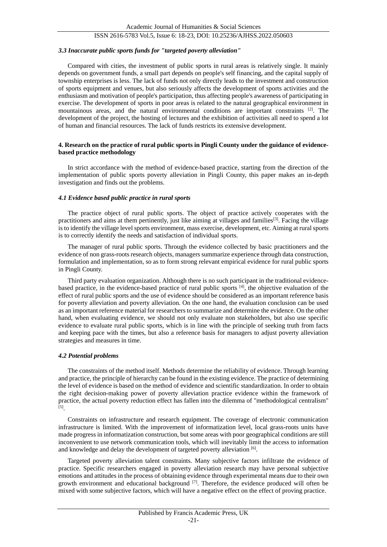## ISSN 2616-5783 Vol.5, Issue 6: 18-23, DOI: 10.25236/AJHSS.2022.050603

#### *3.3 Inaccurate public sports funds for "targeted poverty alleviation"*

Compared with cities, the investment of public sports in rural areas is relatively single. It mainly depends on government funds, a small part depends on people's self financing, and the capital supply of township enterprises is less. The lack of funds not only directly leads to the investment and construction of sports equipment and venues, but also seriously affects the development of sports activities and the enthusiasm and motivation of people's participation, thus affecting people's awareness of participating in exercise. The development of sports in poor areas is related to the natural geographical environment in mountainous areas, and the natural environmental conditions are important constraints  $[2]$ . The development of the project, the hosting of lectures and the exhibition of activities all need to spend a lot of human and financial resources. The lack of funds restricts its extensive development.

#### **4. Research on the practice of rural public sports in Pingli County under the guidance of evidencebased practice methodology**

In strict accordance with the method of evidence-based practice, starting from the direction of the implementation of public sports poverty alleviation in Pingli County, this paper makes an in-depth investigation and finds out the problems.

#### *4.1 Evidence based public practice in rural sports*

The practice object of rural public sports. The object of practice actively cooperates with the practitioners and aims at them pertinently, just like aiming at villages and families<sup>[3]</sup>. Facing the village is to identify the village level sports environment, mass exercise, development, etc. Aiming at rural sports is to correctly identify the needs and satisfaction of individual sports.

The manager of rural public sports. Through the evidence collected by basic practitioners and the evidence of non grass-roots research objects, managers summarize experience through data construction, formulation and implementation, so as to form strong relevant empirical evidence for rural public sports in Pingli County.

Third party evaluation organization. Although there is no such participant in the traditional evidencebased practice, in the evidence-based practice of rural public sports [4], the objective evaluation of the effect of rural public sports and the use of evidence should be considered as an important reference basis for poverty alleviation and poverty alleviation. On the one hand, the evaluation conclusion can be used as an important reference material for researchers to summarize and determine the evidence. On the other hand, when evaluating evidence, we should not only evaluate non stakeholders, but also use specific evidence to evaluate rural public sports, which is in line with the principle of seeking truth from facts and keeping pace with the times, but also a reference basis for managers to adjust poverty alleviation strategies and measures in time.

#### *4.2 Potential problems*

The constraints of the method itself. Methods determine the reliability of evidence. Through learning and practice, the principle of hierarchy can be found in the existing evidence. The practice of determining the level of evidence is based on the method of evidence and scientific standardization. In order to obtain the right decision-making power of poverty alleviation practice evidence within the framework of practice, the actual poverty reduction effect has fallen into the dilemma of "methodological centralism" [5] .

Constraints on infrastructure and research equipment. The coverage of electronic communication infrastructure is limited. With the improvement of informatization level, local grass-roots units have made progress in informatization construction, but some areas with poor geographical conditions are still inconvenient to use network communication tools, which will inevitably limit the access to information and knowledge and delay the development of targeted poverty alleviation [6].

Targeted poverty alleviation talent constraints. Many subjective factors infiltrate the evidence of practice. Specific researchers engaged in poverty alleviation research may have personal subjective emotions and attitudes in the process of obtaining evidence through experimental means due to their own growth environment and educational background  $[7]$ . Therefore, the evidence produced will often be mixed with some subjective factors, which will have a negative effect on the effect of proving practice.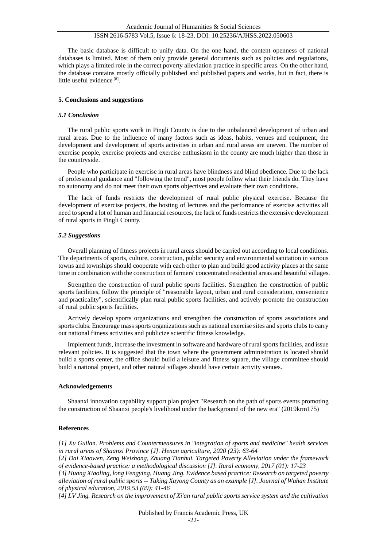#### The basic database is difficult to unify data. On the one hand, the content openness of national databases is limited. Most of them only provide general documents such as policies and regulations, which plays a limited role in the correct poverty alleviation practice in specific areas. On the other hand, the database contains mostly officially published and published papers and works, but in fact, there is little useful evidence<sup>[8]</sup>.

#### **5. Conclusions and suggestions**

#### *5.1 Conclusion*

The rural public sports work in Pingli County is due to the unbalanced development of urban and rural areas. Due to the influence of many factors such as ideas, habits, venues and equipment, the development and development of sports activities in urban and rural areas are uneven. The number of exercise people, exercise projects and exercise enthusiasm in the county are much higher than those in the countryside.

People who participate in exercise in rural areas have blindness and blind obedience. Due to the lack of professional guidance and "following the trend", most people follow what their friends do. They have no autonomy and do not meet their own sports objectives and evaluate their own conditions.

The lack of funds restricts the development of rural public physical exercise. Because the development of exercise projects, the hosting of lectures and the performance of exercise activities all need to spend a lot of human and financial resources, the lack of funds restricts the extensive development of rural sports in Pingli County.

#### *5.2 Suggestions*

Overall planning of fitness projects in rural areas should be carried out according to local conditions. The departments of sports, culture, construction, public security and environmental sanitation in various towns and townships should cooperate with each other to plan and build good activity places at the same time in combination with the construction of farmers' concentrated residential areas and beautiful villages.

Strengthen the construction of rural public sports facilities. Strengthen the construction of public sports facilities, follow the principle of "reasonable layout, urban and rural consideration, convenience and practicality", scientifically plan rural public sports facilities, and actively promote the construction of rural public sports facilities.

Actively develop sports organizations and strengthen the construction of sports associations and sports clubs. Encourage mass sports organizations such as national exercise sites and sports clubs to carry out national fitness activities and publicize scientific fitness knowledge.

Implement funds, increase the investment in software and hardware of rural sports facilities, and issue relevant policies. It is suggested that the town where the government administration is located should build a sports center, the office should build a leisure and fitness square, the village committee should build a national project, and other natural villages should have certain activity venues.

#### **Acknowledgements**

Shaanxi innovation capability support plan project "Research on the path of sports events promoting the construction of Shaanxi people's livelihood under the background of the new era" (2019krm175)

#### **References**

*[1] Xu Guilan. Problems and Countermeasures in "integration of sports and medicine" health services in rural areas of Shaanxi Province [J]. Henan agriculture, 2020 (23): 63-64*

*[2] Dai Xiaowen, Zeng Weizhong, Zhuang Tianhui. Targeted Poverty Alleviation under the framework of evidence-based practice: a methodological discussion [J]. Rural economy, 2017 (01): 17-23*

*[3] Huang Xiaoling, long Fengying, Huang Jing. Evidence based practice: Research on targeted poverty alleviation of rural public sports -- Taking Xuyong County as an example [J]. Journal of Wuhan Institute of physical education, 2019,53 (09): 41-46*

*[4] LV Jing. Research on the improvement of Xi'an rural public sports service system and the cultivation*